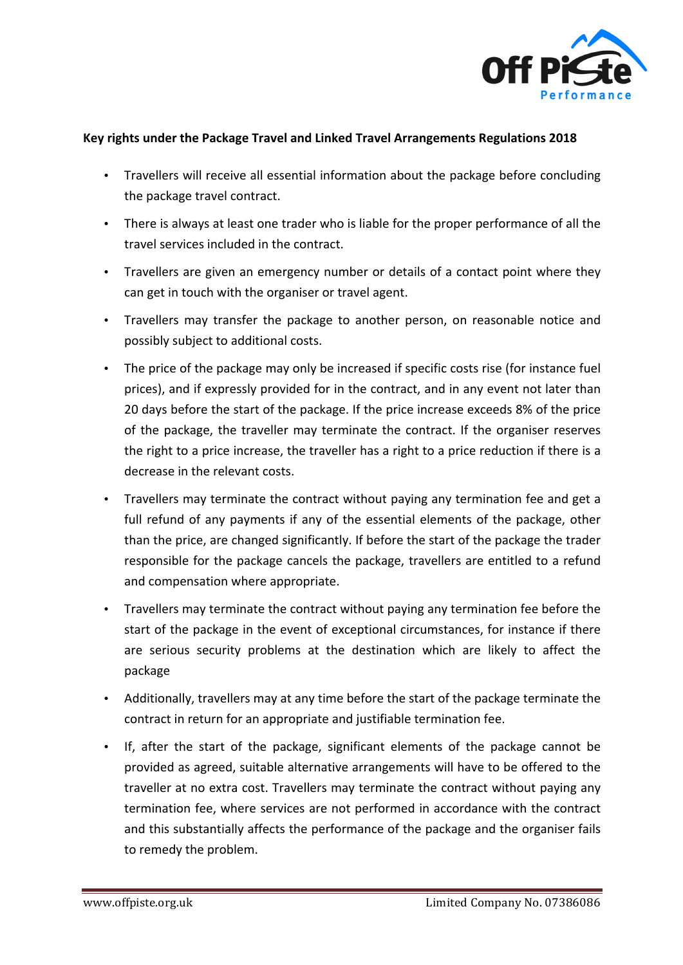

## **Key rights under the Package Travel and Linked Travel Arrangements Regulations 2018**

- Travellers will receive all essential information about the package before concluding the package travel contract.
- There is always at least one trader who is liable for the proper performance of all the travel services included in the contract.
- Travellers are given an emergency number or details of a contact point where they can get in touch with the organiser or travel agent.
- Travellers may transfer the package to another person, on reasonable notice and possibly subject to additional costs.
- The price of the package may only be increased if specific costs rise (for instance fuel prices), and if expressly provided for in the contract, and in any event not later than 20 days before the start of the package. If the price increase exceeds 8% of the price of the package, the traveller may terminate the contract. If the organiser reserves the right to a price increase, the traveller has a right to a price reduction if there is a decrease in the relevant costs.
- Travellers may terminate the contract without paying any termination fee and get a full refund of any payments if any of the essential elements of the package, other than the price, are changed significantly. If before the start of the package the trader responsible for the package cancels the package, travellers are entitled to a refund and compensation where appropriate.
- Travellers may terminate the contract without paying any termination fee before the start of the package in the event of exceptional circumstances, for instance if there are serious security problems at the destination which are likely to affect the package
- Additionally, travellers may at any time before the start of the package terminate the contract in return for an appropriate and justifiable termination fee.
- If, after the start of the package, significant elements of the package cannot be provided as agreed, suitable alternative arrangements will have to be offered to the traveller at no extra cost. Travellers may terminate the contract without paying any termination fee, where services are not performed in accordance with the contract and this substantially affects the performance of the package and the organiser fails to remedy the problem.